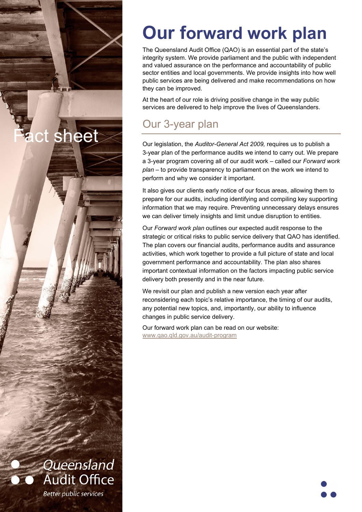# **Our forward work plan**

The Queensland Audit Office (QAO) is an essential part of the state's integrity system. We provide parliament and the public with independent and valued assurance on the performance and accountability of public sector entities and local governments. We provide insights into how well public services are being delivered and make recommendations on how they can be improved.

At the heart of our role is driving positive change in the way public services are delivered to help improve the lives of Queenslanders.

# Our 3-year plan

ct sheet

Queensland

**Audit Office** 

**Better public services** 

Our legislation, the *Auditor-General Act 2009,* requires us to publish a 3-year plan of the performance audits we intend to carry out. We prepare a 3-year program covering all of our audit work – called our *Forward work plan* – to provide transparency to parliament on the work we intend to perform and why we consider it important.

It also gives our clients early notice of our focus areas, allowing them to prepare for our audits, including identifying and compiling key supporting information that we may require. Preventing unnecessary delays ensures we can deliver timely insights and limit undue disruption to entities.

Our *Forward work plan* outlines our expected audit response to the strategic or critical risks to public service delivery that QAO has identified. The plan covers our financial audits, performance audits and assurance activities, which work together to provide a full picture of state and local government performance and accountability. The plan also shares important contextual information on the factors impacting public service delivery both presently and in the near future.

We revisit our plan and publish a new version each year after reconsidering each topic's relative importance, the timing of our audits, any potential new topics, and, importantly, our ability to influence changes in public service delivery.

Our forward work plan can be read on our website: [www.qao.qld.gov.au/audit-program](http://www.qao.qld.gov.au/audit-program) 

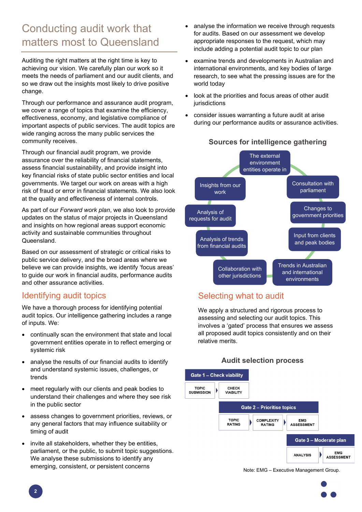# Conducting audit work that matters most to Queensland

Auditing the right matters at the right time is key to achieving our vision. We carefully plan our work so it meets the needs of parliament and our audit clients, and so we draw out the insights most likely to drive positive change.

Through our performance and assurance audit program, we cover a range of topics that examine the efficiency, effectiveness, economy, and legislative compliance of important aspects of public services. The audit topics are wide ranging across the many public services the community receives.

Through our financial audit program, we provide assurance over the reliability of financial statements, assess financial sustainability, and provide insight into key financial risks of state public sector entities and local governments. We target our work on areas with a high risk of fraud or error in financial statements. We also look at the quality and effectiveness of internal controls.

As part of our *Forward work plan*, we also look to provide updates on the status of major projects in Queensland and insights on how regional areas support economic activity and sustainable communities throughout Queensland.

Based on our assessment of strategic or critical risks to public service delivery, and the broad areas where we believe we can provide insights, we identify 'focus areas' to guide our work in financial audits, performance audits and other assurance activities.

#### Identifying audit topics

We have a thorough process for identifying potential audit topics. Our intelligence gathering includes a range of inputs. We:

- continually scan the environment that state and local government entities operate in to reflect emerging or systemic risk
- analyse the results of our financial audits to identify and understand systemic issues, challenges, or trends
- meet regularly with our clients and peak bodies to understand their challenges and where they see risk in the public sector
- assess changes to government priorities, reviews, or any general factors that may influence suitability or timing of audit
- invite all stakeholders, whether they be entities, parliament, or the public, to submit topic suggestions. We analyse these submissions to identify any emerging, consistent, or persistent concerns
- analyse the information we receive through requests for audits. Based on our assessment we develop appropriate responses to the request, which may include adding a potential audit topic to our plan
- examine trends and developments in Australian and international environments, and key bodies of large research, to see what the pressing issues are for the world today
- look at the priorities and focus areas of other audit jurisdictions
- consider issues warranting a future audit at arise during our performance audits or assurance activities.

 **Sources for intelligence gathering**



## Selecting what to audit

We apply a structured and rigorous process to assessing and selecting our audit topics. This involves a 'gated' process that ensures we assess all proposed audit topics consistently and on their relative merits.

#### **Audit selection process**



Note: EMG – Executive Management Group.

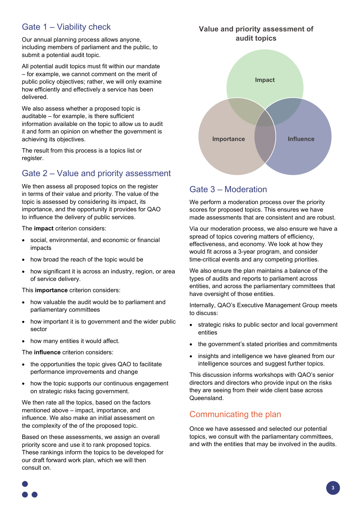## Gate 1 – Viability check

Our annual planning process allows anyone, including members of parliament and the public, to submit a potential audit topic.

All potential audit topics must fit within our mandate – for example, we cannot comment on the merit of public policy objectives; rather, we will only examine how efficiently and effectively a service has been delivered.

We also assess whether a proposed topic is auditable – for example, is there sufficient information available on the topic to allow us to audit it and form an opinion on whether the government is achieving its objectives.

The result from this process is a topics list or register.

## Gate 2 – Value and priority assessment

We then assess all proposed topics on the register in terms of their value and priority. The value of the topic is assessed by considering its impact, its importance, and the opportunity it provides for QAO to influence the delivery of public services.

The **impact** criterion considers:

- social, environmental, and economic or financial impacts
- how broad the reach of the topic would be
- how significant it is across an industry, region, or area of service delivery.

This **importance** criterion considers:

- how valuable the audit would be to parliament and parliamentary committees
- how important it is to government and the wider public sector
- how many entities it would affect.

The **influence** criterion considers:

- the opportunities the topic gives QAO to facilitate performance improvements and change
- how the topic supports our continuous engagement on strategic risks facing government.

We then rate all the topics, based on the factors mentioned above – impact, importance, and influence. We also make an initial assessment on the complexity of the of the proposed topic.

Based on these assessments, we assign an overall priority score and use it to rank proposed topics. These rankings inform the topics to be developed for our draft forward work plan, which we will then consult on.



#### Gate 3 – Moderation

We perform a moderation process over the priority scores for proposed topics. This ensures we have made assessments that are consistent and are robust.

Via our moderation process, we also ensure we have a spread of topics covering matters of efficiency, effectiveness, and economy. We look at how they would fit across a 3-year program, and consider time-critical events and any competing priorities.

We also ensure the plan maintains a balance of the types of audits and reports to parliament across entities, and across the parliamentary committees that have oversight of those entities.

Internally, QAO's Executive Management Group meets to discuss:

- strategic risks to public sector and local government entities
- the government's stated priorities and commitments
- insights and intelligence we have gleaned from our intelligence sources and suggest further topics.

This discussion informs workshops with QAO's senior directors and directors who provide input on the risks they are seeing from their wide client base across Queensland.

#### Communicating the plan

Once we have assessed and selected our potential topics, we consult with the parliamentary committees, and with the entities that may be involved in the audits.

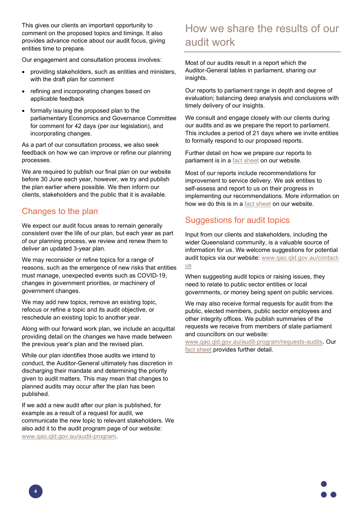This gives our clients an important opportunity to comment on the proposed topics and timings. It also provides advance notice about our audit focus, giving entities time to prepare.

Our engagement and consultation process involves:

- providing stakeholders, such as entities and ministers, with the draft plan for comment
- refining and incorporating changes based on applicable feedback
- formally issuing the proposed plan to the parliamentary Economics and Governance Committee for comment for 42 days (per our legislation), and incorporating changes.

As a part of our consultation process, we also seek feedback on how we can improve or refine our planning processes.

We are required to publish our final plan on our website before 30 June each year, however, we try and publish the plan earlier where possible. We then inform our clients, stakeholders and the public that it is available.

#### Changes to the plan

We expect our audit focus areas to remain generally consistent over the life of our plan, but each year as part of our planning process, we review and renew them to deliver an updated 3-year plan.

We may reconsider or refine topics for a range of reasons, such as the emergence of new risks that entities must manage, unexpected events such as COVID-19, changes in government priorities, or machinery of government changes.

We may add new topics, remove an existing topic, refocus or refine a topic and its audit objective, or reschedule an existing topic to another year.

Along with our forward work plan, we include an acquittal providing detail on the changes we have made between the previous year's plan and the revised plan.

While our plan identifies those audits we intend to conduct, the Auditor-General ultimately has discretion in discharging their mandate and determining the priority given to audit matters. This may mean that changes to planned audits may occur after the plan has been published.

If we add a new audit after our plan is published, for example as a result of a request for audit, we communicate the new topic to relevant stakeholders. We also add it to the audit program page of our website: [www.qao.qld.gov.au/audit-program.](http://www.qao.qld.gov.au/audit-program)

## How we share the results of our audit work

Most of our audits result in a report which the Auditor-General tables in parliament, sharing our insights.

Our reports to parliament range in depth and degree of evaluation; balancing deep analysis and conclusions with timely delivery of our insights.

We consult and engage closely with our clients during our audits and as we prepare the report to parliament. This includes a period of 21 days where we invite entities to formally respond to our proposed reports.

Further detail on how we prepare our reports to parliament is in a [fact sheet](https://www.qao.qld.gov.au/sites/default/files/2021-01/Fact%20sheet%E2%80%94How%20we%20prepare%20our%20reports%20to%20parliament_0.pdf) on our website.

Most of our reports include recommendations for improvement to service delivery. We ask entities to self-assess and report to us on their progress in implementing our recommendations. More information on how we do this is in a [fact sheet](https://www.qao.qld.gov.au/sites/default/files/2021-02/Entity%20self-assessments%20on%20implementation%20of%20QAO%20recommendations.pdf) on our website.

#### Suggestions for audit topics

Input from our clients and stakeholders, including the wider Queensland community, is a valuable source of information for us. We welcome suggestions for potential audit topics via our website: [www.qao.qld.gov.au/contact](http://www.qao.qld.gov.au/contact-us)[us](http://www.qao.qld.gov.au/contact-us)

When suggesting audit topics or raising issues, they need to relate to public sector entities or local governments, or money being spent on public services.

We may also receive formal requests for audit from the public, elected members, public sector employees and other integrity offices. We publish summaries of the requests we receive from members of state parliament and councillors on our website:

[www.qao.qld.gov.au/audit-program/requests-audits.](http://www.qao.qld.gov.au/audit-program/requests-audits) Our [fact sheet](https://www.qao.qld.gov.au/sites/default/files/2020-11/Fact%20sheet%E2%80%94Requests%20for%20audits.pdf) provides further detail.